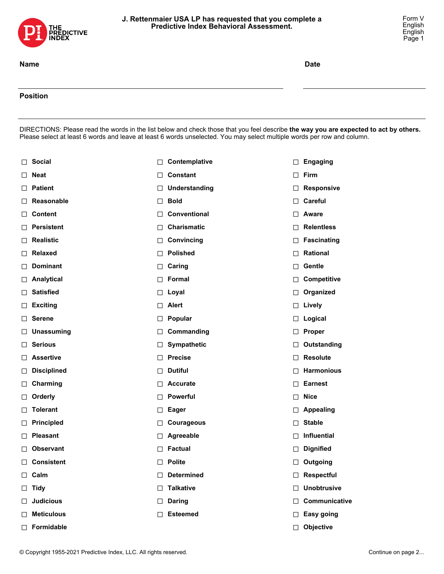

## **J. Rettenmaier USA LP has requested that you complete a Predictive Index Behavioral Assessment.**

Form V English English Page 1

## **Position**

DIRECTIONS: Please read the words in the list below and check those that you feel describe **the way you are expected to act by others.** Please select at least 6 words and leave at least 6 words unselected. You may select multiple words per row and column.

|   | □ Social           | $\Box$  | Contemplative        | □      | <b>Engaging</b>    |
|---|--------------------|---------|----------------------|--------|--------------------|
| ⊔ | <b>Neat</b>        | $\perp$ | Constant             | □      | Firm               |
| ⊔ | <b>Patient</b>     | ⊔       | <b>Understanding</b> | □      | <b>Responsive</b>  |
| ⊔ | Reasonable         | ⊔       | <b>Bold</b>          | $\Box$ | Careful            |
| ⊔ | <b>Content</b>     | ⊔       | Conventional         | $\Box$ | <b>Aware</b>       |
| ⊔ | <b>Persistent</b>  | ⊔       | <b>Charismatic</b>   | □      | <b>Relentless</b>  |
| ⊔ | <b>Realistic</b>   | ⊔       | Convincing           | ⊔      | <b>Fascinating</b> |
| ⊔ | <b>Relaxed</b>     | ⊔       | <b>Polished</b>      | $\Box$ | Rational           |
| ⊔ | <b>Dominant</b>    | ⊔       | Caring               | □      | Gentle             |
| ⊔ | Analytical         | $\perp$ | Formal               | □      | Competitive        |
| ⊔ | <b>Satisfied</b>   | ⊔       | Loyal                | ⊔      | Organized          |
| ⊔ | <b>Exciting</b>    | $\perp$ | <b>Alert</b>         | □      | Lively             |
| ⊔ | <b>Serene</b>      | ⊔       | Popular              | ⊔      | Logical            |
| ⊔ | <b>Unassuming</b>  | ⊔       | Commanding           | □      | <b>Proper</b>      |
| ⊔ | <b>Serious</b>     | ⊔       | Sympathetic          | ⊔      | Outstanding        |
| ⊔ | <b>Assertive</b>   | $\perp$ | <b>Precise</b>       | □      | <b>Resolute</b>    |
| ⊔ | <b>Disciplined</b> | ⊔       | <b>Dutiful</b>       | ⊔      | <b>Harmonious</b>  |
| ⊔ | Charming           | $\perp$ | <b>Accurate</b>      | □      | <b>Earnest</b>     |
| ⊔ | Orderly            | ⊔       | Powerful             | □      | <b>Nice</b>        |
| ⊔ | <b>Tolerant</b>    | ⊔       | <b>Eager</b>         | □      | <b>Appealing</b>   |
| ⊔ | <b>Principled</b>  | ⊔       | <b>Courageous</b>    | □      | <b>Stable</b>      |
| ⊔ | <b>Pleasant</b>    | ⊔       | Agreeable            | □      | Influential        |
| ⊔ | <b>Observant</b>   | ⊔       | <b>Factual</b>       | □      | <b>Dignified</b>   |
| ⊔ | <b>Consistent</b>  | $\perp$ | <b>Polite</b>        | ⊔      | Outgoing           |
|   | $\Box$ Calm        | $\Box$  | <b>Determined</b>    | □      | <b>Respectful</b>  |
|   | $\Box$ Tidy        | $\Box$  | <b>Talkative</b>     | П.     | <b>Unobtrusive</b> |
|   | $\Box$ Judicious   | $\perp$ | <b>Daring</b>        | П      | Communicative      |
| ⊔ | <b>Meticulous</b>  | $\perp$ | <b>Esteemed</b>      | □      | Easy going         |
|   | Formidable         |         |                      | $\Box$ | Objective          |